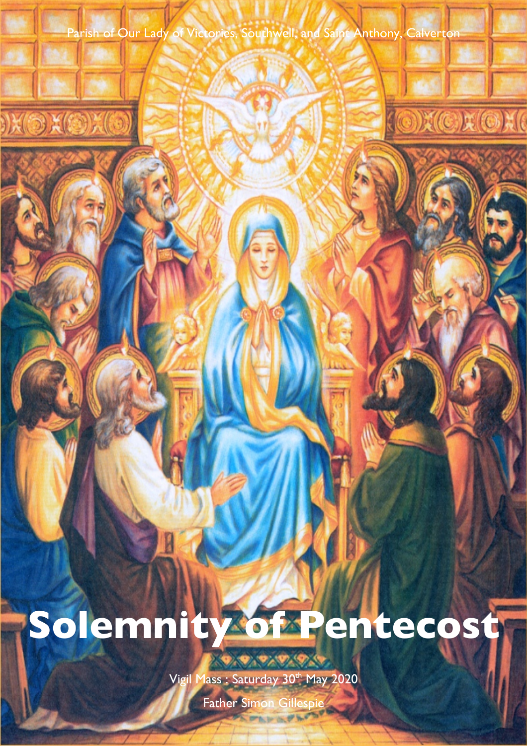Parish of Our Lady of Victories, Southwell, and Saint Anthony, Calverton

 $\odot$ 

X C X O X (

# **Solemnity of Pentecost**

Vigil Mass : Saturday 30th May 2020

0.0.0.0.0.0

Father Simon Gillespie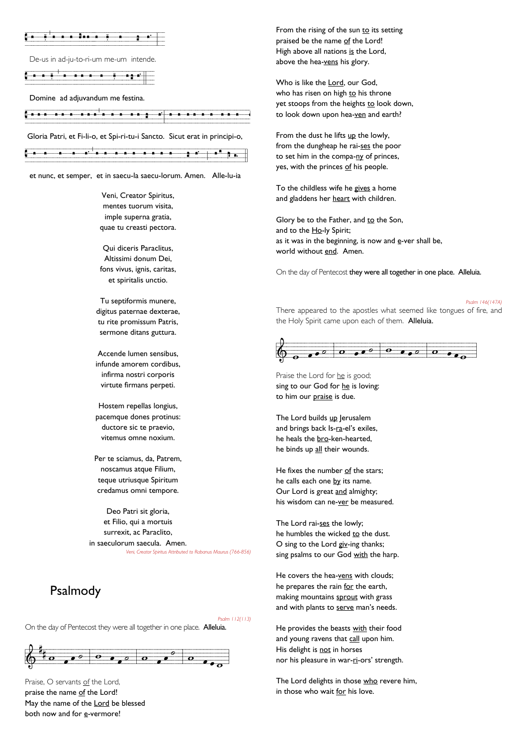

De-us in ad-ju-to-ri-um me-um intende.

Vvana vez na šero<br>V

Domine ad adjuvandum me festina.

Vana variava vohvod vili vod saarling variation variation variation variation variation variation variation va<br>Variation

Gloria Patri, et Fi-li-o, et Spi-ri-tu-i Sancto. Sicut erat in principi-o,

|  |  |                            | -------- |  |  |     |  |            |                              |  |  |  |
|--|--|----------------------------|----------|--|--|-----|--|------------|------------------------------|--|--|--|
|  |  | <b>Service Controllers</b> |          |  |  |     |  | . <b>.</b> | <b>CONTRACTOR</b> CONTRACTOR |  |  |  |
|  |  |                            |          |  |  |     |  |            |                              |  |  |  |
|  |  |                            |          |  |  | ___ |  | _______    |                              |  |  |  |
|  |  |                            |          |  |  |     |  |            |                              |  |  |  |
|  |  |                            |          |  |  |     |  |            |                              |  |  |  |

et nunc, et semper, et in saecu-la saecu-lorum. Amen. Alle-lu-ia

Veni, Creator Spiritus, mentes tuorum visita, imple superna gratia, quae tu creasti pectora.

Qui diceris Paraclitus, Altissimi donum Dei, fons vivus, ignis, caritas, et spiritalis unctio.

Tu septiformis munere, digitus paternae dexterae, tu rite promissum Patris, sermone ditans guttura.

Accende lumen sensibus, infunde amorem cordibus, infirma nostri corporis virtute firmans perpeti.

Hostem repellas longius, pacemque dones protinus: ductore sic te praevio, vitemus omne noxium.

Per te sciamus, da, Patrem, noscamus atque Filium, teque utriusque Spiritum credamus omni tempore.

Deo Patri sit gloria, et Filio, qui a mortuis surrexit, ac Paraclito, in saeculorum saecula. Amen. *Veni, Creator Spiritus Attributed to Rabanus Maurus (766-856)*

### Psalmody

*Psalm 112(113)*

On the day of Pentecost they were all together in one place. Alleluia.



Praise, O servants of the Lord, praise the name of the Lord! May the name of the Lord be blessed both now and for e-vermore!

From the rising of the sun to its setting praised be the name of the Lord! High above all nations is the Lord, above the hea-vens his glory.

Who is like the Lord, our God, who has risen on high to his throne yet stoops from the heights to look down, to look down upon hea-ven and earth?

From the dust he lifts up the lowly, from the dungheap he rai-ses the poor to set him in the compa-ny of princes, yes, with the princes of his people.

To the childless wife he gives a home and gladdens her heart with children.

Glory be to the Father, and to the Son, and to the Ho-ly Spirit; as it was in the beginning, is now and  $e$ -ver shall be, world without end. Amen.

On the day of Pentecost they were all together in one place. Alleluia.

*Psalm 146(147A)* There appeared to the apostles what seemed like tongues of fire, and the Holy Spirit came upon each of them. Alleluia.



Praise the Lord for he is good; sing to our God for he is loving: to him our praise is due.

The Lord builds up Jerusalem and brings back Is-ra-el's exiles, he heals the bro-ken-hearted, he binds up all their wounds.

He fixes the number of the stars; he calls each one by its name. Our Lord is great and almighty; his wisdom can ne-ver be measured.

The Lord rai-ses the lowly; he humbles the wicked to the dust. O sing to the Lord giv-ing thanks; sing psalms to our God with the harp.

He covers the hea-vens with clouds; he prepares the rain for the earth, making mountains sprout with grass and with plants to serve man's needs.

He provides the beasts with their food and young ravens that call upon him. His delight is not in horses nor his pleasure in war-ri-ors' strength.

The Lord delights in those who revere him, in those who wait for his love.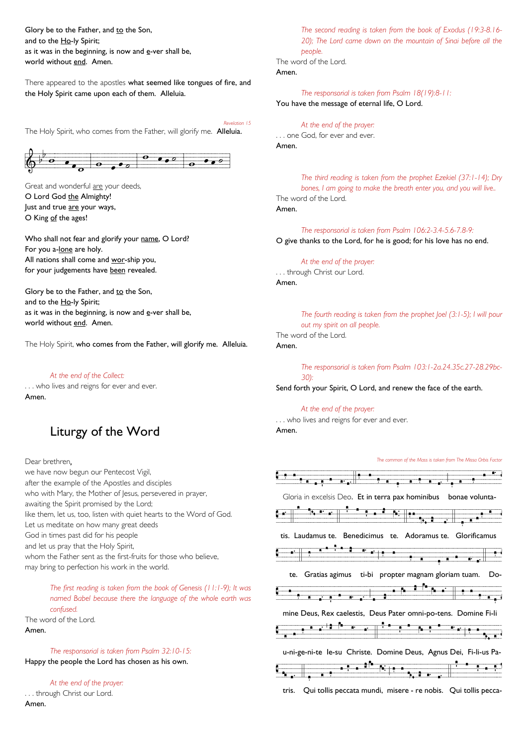Glory be to the Father, and to the Son, and to the Ho-ly Spirit; as it was in the beginning, is now and  $e$ -ver shall be, world without end. Amen.

There appeared to the apostles what seemed like tongues of fire, and the Holy Spirit came upon each of them. Alleluia.

*Revelation 15* The Holy Spirit, who comes from the Father, will glorify me. Alleluia.



Great and wonderful are your deeds, O Lord God the Almighty! Just and true are your ways, O King of the ages!

Who shall not fear and glorify your name, O Lord? For you a-lone are holy. All nations shall come and wor-ship you, for your judgements have been revealed.

Glory be to the Father, and to the Son, and to the Ho-ly Spirit; as it was in the beginning, is now and  $e$ -ver shall be, world without end. Amen.

The Holy Spirit, who comes from the Father, will glorify me. Alleluia.

### *At the end of the Collect:*

. . . who lives and reigns for ever and ever. Amen.

# Liturgy of the Word

Dear brethren,

we have now begun our Pentecost Vigil, after the example of the Apostles and disciples who with Mary, the Mother of Jesus, persevered in prayer, awaiting the Spirit promised by the Lord; like them, let us, too, listen with quiet hearts to the Word of God. Let us meditate on how many great deeds God in times past did for his people and let us pray that the Holy Spirit, whom the Father sent as the first-fruits for those who believe, may bring to perfection his work in the world.

*The first reading is taken from the book of Genesis (11:1-9); It was named Babel because there the language of the whole earth was confused.* The word of the Lord.

Amen.

*The responsorial is taken from Psalm 32:10-15:* Happy the people the Lord has chosen as his own.

*At the end of the prayer:* . . . through Christ our Lord. Amen.

*The second reading is taken from the book of Exodus (19:3-8.16- 20); The Lord came down on the mountain of Sinai before all the people.* The word of the Lord. Amen.

*The responsorial is taken from Psalm 18(19):8-11:* You have the message of eternal life, O Lord.

*At the end of the prayer:* . . . one God, for ever and ever. Amen.

*The third reading is taken from the prophet Ezekiel (37:1-14); Dry bones, I am going to make the breath enter you, and you will live..* The word of the Lord. Amen.

*The responsorial is taken from Psalm 106:2-3.4-5.6-7.8-9:* O give thanks to the Lord, for he is good; for his love has no end.

*At the end of the prayer:* . . . through Christ our Lord. Amen.

> *The fourth reading is taken from the prophet Joel (3:1-5); I will pour out my spirit on all people.*

The word of the Lord.

### Amen.

*The responsorial is taken from Psalm 103:1-2a.24.35c.27-28.29bc-30):*

Send forth your Spirit, O Lord, and renew the face of the earth.

### *At the end of the prayer:*

. . . who lives and reigns for ever and ever. Amen.

*The common of the Mass is taken from The Missa Orbis Factor*



tris. Qui tollis peccata mundi, misere - re nobis. Qui tollis pecca-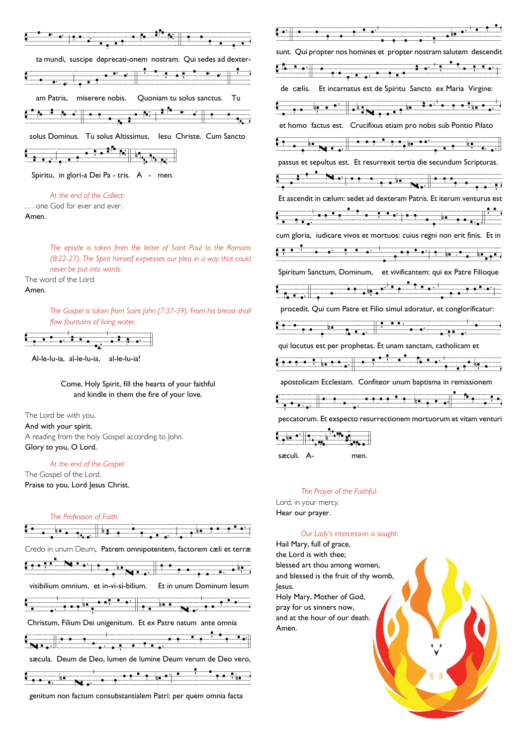| n.                                                             |    |
|----------------------------------------------------------------|----|
| ta mundi, suscipe deprecati-onem nostram. Qui sedes ad dexter- |    |
| n.<br>÷.<br>ī.                                                 |    |
| miserere nobis.  Quoniam tu solus sanctus.<br>am Patris,       | Tu |
| N.                                                             |    |
| solus Dominus. Tu solus Altissimus, Iesu Christe. Cum Sancto   |    |
|                                                                |    |
| Spiritu, in glori-a Dei Pa - tris. A - men.                    |    |

### *At the end of the Collect:*

. . . one God for ever and ever. Amen.

> *The epistle is taken from the letter of Saint Paul to the Romans (8:22-27); The Spirit himself expresses our plea in a way that could never be put into words.*

The word of the Lord. Amen.

> *The Gospel is taken from Saint John (7:37-39); From his breast shall flow fountains of living water.*



Al-le-lu-ia, al-le-lu-ia, al-le-lu-ia!

Come, Holy Spirit, fill the hearts of your faithful and kindle in them the fire of your love.

The Lord be with you. And with your spirit. A reading from the holy Gospel according to John. Glory to you, O Lord.

### *At the end of the Gospel:*

The Gospel of the Lord. Praise to you, Lord Jesus Christ.

# *The Profession of Faith:*  $\frac{1}{2}$   $\frac{1}{2}$   $\frac{1}{2}$  vertices  $\frac{1}{2}$  vertices  $\frac{1}{2}$  . The set of  $\frac{1}{2}$  or  $\frac{1}{2}$  . The set of  $\frac{1}{2}$ Credo in unum Deum, Patrem omnipotentem, factorem cæli et terræ <u>Candal Nuaria e a contra de la contra de la contra de la contra de la contra de la contra de la contra de la contra de la contra de la contra de la contra de la contra de la contra de la contra de la contra de la contra d</u> visibilium omnium, et in-vi-si-bilium. Valva martin martin martin avalde "dvver" avalde "dvv" "dvv" "dvv" "dvv" "dvv" "dvv" "dvv" "dvv" "dvv" "dvv" "<br>Dvve s operator "dvvd" "dvvd" "dvvd" "dvvd" "dvvd" "dvvd" "dvvd" "dvvd" "dvvd" "dvvd" "dvvd" "dvvdd" "dvvdd" " Christum, Filium Dei unigenitum. Et ex Patre natum ante omnia  $\mathbf{v}_{\mathbf{z}}$  is the set of the  $\mathbf{v}_{\mathbf{z}}$  sæcula. Deum de Deo, lumen de lumine Deum verum de Deo vero, Vera in version <sup>i</sup> tenn<sub>is</sub> i

genitum non factum consubstantialem Patri: per quem omnia facta

| sunt. Qui propter nos homines et propter nostram salutem descendit                                                                                                                                                                   |
|--------------------------------------------------------------------------------------------------------------------------------------------------------------------------------------------------------------------------------------|
|                                                                                                                                                                                                                                      |
| de cælis. Et incarnatus est de Spiritu Sancto ex Maria Virgine:                                                                                                                                                                      |
|                                                                                                                                                                                                                                      |
| et homo factus est. Crucifixus etiam pro nobis sub Pontio Pilato                                                                                                                                                                     |
| <u>Cap is a sealer in the sealer in the sealer of the sealer in the sealer in the sealer in the sealer in the sealer in the sealer in the sealer in the sealer in the sealer in the sealer in the sealer in the sealer in the se</u> |
| passus et sepultus est. Et resurrexit tertia die secundum Scripturas.                                                                                                                                                                |
|                                                                                                                                                                                                                                      |
| Et ascendit in cælum: sedet ad dexteram Patris. Et iterum venturus est                                                                                                                                                               |
|                                                                                                                                                                                                                                      |
| cum gloria, iudicare vivos et mortuos: cuius regni non erit finis. Et in                                                                                                                                                             |
|                                                                                                                                                                                                                                      |
| Spiritum Sanctum, Dominum, et vivificantem: qui ex Patre Filioque                                                                                                                                                                    |
|                                                                                                                                                                                                                                      |
| procedit. Qui cum Patre et Filio simul adoratur, et conglorificatur:                                                                                                                                                                 |
|                                                                                                                                                                                                                                      |
| qui locutus est per prophetas. Et unam sanctam, catholicam et                                                                                                                                                                        |
|                                                                                                                                                                                                                                      |
| apostolicam Ecclesiam. Confiteor unum baptisma in remissionem                                                                                                                                                                        |
|                                                                                                                                                                                                                                      |
| peccatorum. Et exspecto resurrectionem mortuorum et vitam venturi                                                                                                                                                                    |
|                                                                                                                                                                                                                                      |

sæculi. A- men.

### *The Prayer of the Faithful:*

Lord, in your mercy. Hear our prayer.

### *Our Lady's intercession is sought:*

Hail Mary, full of grace, the Lord is with thee; blessed art thou among women, and blessed is the fruit of thy womb, Jesus. Holy Mary, Mother of God, pray for us sinners now, and at the hour of our death. Amen.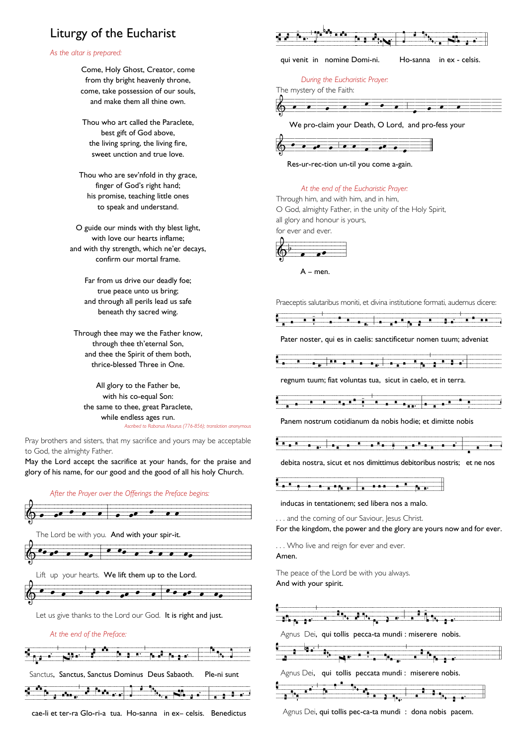# Liturgy of the Eucharist

### *As the altar is prepared:*

Come, Holy Ghost, Creator, come from thy bright heavenly throne, come, take possession of our souls, and make them all thine own.

Thou who art called the Paraclete, best gift of God above, the living spring, the living fire, sweet unction and true love.

Thou who are sev'nfold in thy grace, finger of God's right hand; his promise, teaching little ones to speak and understand.

O guide our minds with thy blest light, with love our hearts inflame; and with thy strength, which ne'er decays, confirm our mortal frame.

> Far from us drive our deadly foe; true peace unto us bring; and through all perils lead us safe beneath thy sacred wing.

Through thee may we the Father know, through thee th'eternal Son, and thee the Spirit of them both, thrice-blessed Three in One.

All glory to the Father be, with his co-equal Son: the same to thee, great Paraclete, while endless ages run. *Ascribed to Rabanus Maurus (776-856); translation anonymous*

Pray brothers and sisters, that my sacrifice and yours may be acceptable to God, the almighty Father.

May the Lord accept the sacrifice at your hands, for the praise and glory of his name, for our good and the good of all his holy Church.







cae-li et ter-ra Glo-ri-a tua. Ho-sanna in ex– celsis. Benedictus

|       | Ń.                                                                                                                                                                                                                                                                                                                                                                                                                                                                                                                                         |                |
|-------|--------------------------------------------------------------------------------------------------------------------------------------------------------------------------------------------------------------------------------------------------------------------------------------------------------------------------------------------------------------------------------------------------------------------------------------------------------------------------------------------------------------------------------------------|----------------|
|       | qui venit in nomine Domi-ni.<br>Ho-sanna in ex - celsis.                                                                                                                                                                                                                                                                                                                                                                                                                                                                                   |                |
|       | During the Eucharistic Prayer:<br>The mystery of the Faith:                                                                                                                                                                                                                                                                                                                                                                                                                                                                                |                |
|       | <del>.</del> .<br>$\cdot$ .                                                                                                                                                                                                                                                                                                                                                                                                                                                                                                                |                |
|       | We pro-claim your Death, O Lord, and pro-fess your                                                                                                                                                                                                                                                                                                                                                                                                                                                                                         |                |
|       |                                                                                                                                                                                                                                                                                                                                                                                                                                                                                                                                            |                |
|       | <u>.</u>                                                                                                                                                                                                                                                                                                                                                                                                                                                                                                                                   |                |
|       | Res-ur-rec-tion un-til you come a-gain.                                                                                                                                                                                                                                                                                                                                                                                                                                                                                                    |                |
|       | At the end of the Eucharistic Prayer:                                                                                                                                                                                                                                                                                                                                                                                                                                                                                                      |                |
|       | Through him, and with him, and in him,                                                                                                                                                                                                                                                                                                                                                                                                                                                                                                     |                |
|       | O God, almighty Father, in the unity of the Holy Spirit,                                                                                                                                                                                                                                                                                                                                                                                                                                                                                   |                |
|       | all glory and honour is yours,                                                                                                                                                                                                                                                                                                                                                                                                                                                                                                             |                |
|       | for ever and ever.                                                                                                                                                                                                                                                                                                                                                                                                                                                                                                                         |                |
|       |                                                                                                                                                                                                                                                                                                                                                                                                                                                                                                                                            |                |
|       |                                                                                                                                                                                                                                                                                                                                                                                                                                                                                                                                            |                |
|       | $A - men$ .                                                                                                                                                                                                                                                                                                                                                                                                                                                                                                                                |                |
|       |                                                                                                                                                                                                                                                                                                                                                                                                                                                                                                                                            |                |
|       |                                                                                                                                                                                                                                                                                                                                                                                                                                                                                                                                            |                |
|       |                                                                                                                                                                                                                                                                                                                                                                                                                                                                                                                                            |                |
|       | Praeceptis salutaribus moniti, et divina institutione formati, audemus dicere:                                                                                                                                                                                                                                                                                                                                                                                                                                                             |                |
|       |                                                                                                                                                                                                                                                                                                                                                                                                                                                                                                                                            |                |
|       | $\overrightarrow{A}$ $\overrightarrow{A}$ $\overrightarrow{A}$ $\overrightarrow{A}$ $\overrightarrow{A}$ $\overrightarrow{A}$ $\overrightarrow{A}$ $\overrightarrow{A}$ $\overrightarrow{A}$ $\overrightarrow{A}$ $\overrightarrow{A}$ $\overrightarrow{A}$ $\overrightarrow{A}$ $\overrightarrow{A}$ $\overrightarrow{A}$ $\overrightarrow{A}$ $\overrightarrow{A}$ $\overrightarrow{A}$ $\overrightarrow{A}$ $\overrightarrow{A}$ $\overrightarrow{A}$ $\overrightarrow{A}$ $\overrightarrow{A}$ $\overrightarrow{A}$ $\overrightarrow{$ |                |
|       | Pater noster, qui es in caelis: sanctificetur nomen tuum; adveniat                                                                                                                                                                                                                                                                                                                                                                                                                                                                         |                |
|       |                                                                                                                                                                                                                                                                                                                                                                                                                                                                                                                                            |                |
|       |                                                                                                                                                                                                                                                                                                                                                                                                                                                                                                                                            | $\frac{1}{2}$  |
|       | regnum tuum; fiat voluntas tua, sicut in caelo, et in terra.                                                                                                                                                                                                                                                                                                                                                                                                                                                                               |                |
|       |                                                                                                                                                                                                                                                                                                                                                                                                                                                                                                                                            |                |
|       | τ                                                                                                                                                                                                                                                                                                                                                                                                                                                                                                                                          | $\blacksquare$ |
|       | $\frac{1}{\sqrt{1-\frac{1}{2}}}\left(\frac{1}{\sqrt{1-\frac{1}{2}}}\right)^{\frac{1}{2}}$                                                                                                                                                                                                                                                                                                                                                                                                                                                  |                |
|       | Panem nostrum cotidianum da nobis hodie; et dimitte nobis                                                                                                                                                                                                                                                                                                                                                                                                                                                                                  |                |
|       |                                                                                                                                                                                                                                                                                                                                                                                                                                                                                                                                            |                |
|       | $\begin{array}{c} \bullet \end{array} \begin{array}{c} \bullet \end{array} \begin{array}{c} \bullet \end{array} \begin{array}{c} \bullet \end{array}$<br>$\ddot{\mathbf{r}}$ , and a set                                                                                                                                                                                                                                                                                                                                                   |                |
|       | debita nostra, sicut et nos dimittimus debitoribus nostris: et ne nos                                                                                                                                                                                                                                                                                                                                                                                                                                                                      |                |
|       |                                                                                                                                                                                                                                                                                                                                                                                                                                                                                                                                            |                |
|       | a <sup>a p</sup> a ar<br>h e                                                                                                                                                                                                                                                                                                                                                                                                                                                                                                               |                |
|       | inducas in tentationem; sed libera nos a malo.                                                                                                                                                                                                                                                                                                                                                                                                                                                                                             |                |
|       | and the coming of our Saviour, Jesus Christ.                                                                                                                                                                                                                                                                                                                                                                                                                                                                                               |                |
|       | For the kingdom, the power and the glory are yours now and for ever.                                                                                                                                                                                                                                                                                                                                                                                                                                                                       |                |
|       |                                                                                                                                                                                                                                                                                                                                                                                                                                                                                                                                            |                |
| Amen. | Who live and reign for ever and ever.                                                                                                                                                                                                                                                                                                                                                                                                                                                                                                      |                |



Agnus Dei, qui tollis pec-ca-ta mundi : dona nobis pacem.